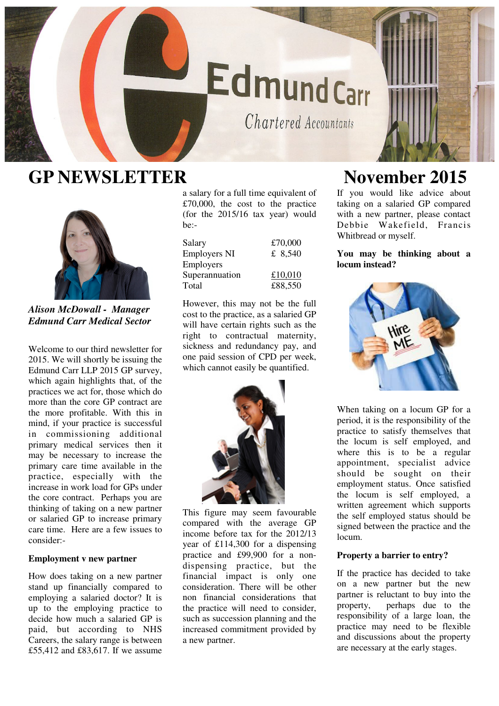# **EdmundCarr**

Chartered Accountants

## **GP NEWSLETTER November 2015**



*Alison McDowall - Manager Edmund Carr Medical Sector* 

Welcome to our third newsletter for 2015. We will shortly be issuing the Edmund Carr LLP 2015 GP survey, which again highlights that, of the practices we act for, those which do more than the core GP contract are the more profitable. With this in mind, if your practice is successful in commissioning additional primary medical services then it may be necessary to increase the primary care time available in the practice, especially with the increase in work load for GPs under the core contract. Perhaps you are thinking of taking on a new partner or salaried GP to increase primary care time. Here are a few issues to consider:-

### **Employment v new partner**

How does taking on a new partner stand up financially compared to employing a salaried doctor? It is up to the employing practice to decide how much a salaried GP is paid, but according to NHS Careers, the salary range is between £55,412 and £83,617. If we assume

a salary for a full time equivalent of £70,000, the cost to the practice (for the 2015/16 tax year) would be:-

| Salary<br><b>Employers NI</b> | £70,000<br>£ 8,540 |
|-------------------------------|--------------------|
| Employers                     |                    |
| Superannuation                | £10,010            |
| Total                         | £88,550            |

However, this may not be the full cost to the practice, as a salaried GP will have certain rights such as the right to contractual maternity, sickness and redundancy pay, and one paid session of CPD per week, which cannot easily be quantified.



This figure may seem favourable compared with the average GP income before tax for the 2012/13 year of £114,300 for a dispensing practice and £99,900 for a nondispensing practice, but the financial impact is only one consideration. There will be other non financial considerations that the practice will need to consider, such as succession planning and the increased commitment provided by a new partner.

If you would like advice about taking on a salaried GP compared with a new partner, please contact Debbie Wakefield, Francis Whitbread or myself.

**You may be thinking about a locum instead?** 



When taking on a locum GP for a period, it is the responsibility of the practice to satisfy themselves that the locum is self employed, and where this is to be a regular appointment, specialist advice should be sought on their employment status. Once satisfied the locum is self employed, a written agreement which supports the self employed status should be signed between the practice and the locum.

#### **Property a barrier to entry?**

If the practice has decided to take on a new partner but the new partner is reluctant to buy into the property, perhaps due to the responsibility of a large loan, the practice may need to be flexible and discussions about the property are necessary at the early stages.